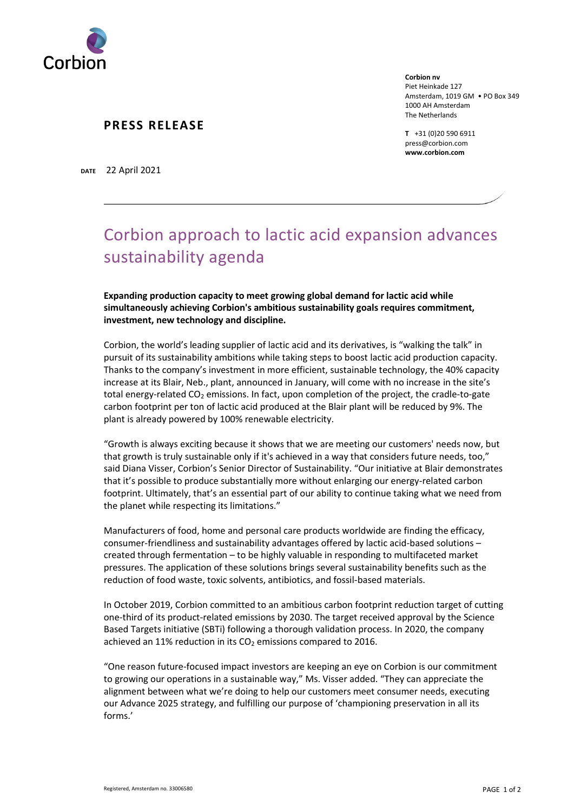

## **PRESS RELEASE**

**Corbion nv** Piet Heinkade 127 Amsterdam, 1019 GM • PO Box 349 1000 AH Amsterdam The Netherlands

**T** +31 (0)20 590 6911 press@corbion.com **www.corbion.com**

**DATE** 22 April 2021

## Corbion approach to lactic acid expansion advances sustainability agenda

**Expanding production capacity to meet growing global demand for lactic acid while simultaneously achieving Corbion's ambitious sustainability goals requires commitment, investment, new technology and discipline.**

Corbion, the world's leading supplier of lactic acid and its derivatives, is "walking the talk" in pursuit of its sustainability ambitions while taking steps to boost lactic acid production capacity. Thanks to the company's investment in more efficient, sustainable technology, the 40% capacity increase at its Blair, Neb., plant, announced in January, will come with no increase in the site's total energy-related CO<sub>2</sub> emissions. In fact, upon completion of the project, the cradle-to-gate carbon footprint per ton of lactic acid produced at the Blair plant will be reduced by 9%. The plant is already powered by 100% renewable electricity.

"Growth is always exciting because it shows that we are meeting our customers' needs now, but that growth is truly sustainable only if it's achieved in a way that considers future needs, too," said Diana Visser, Corbion's Senior Director of Sustainability. "Our initiative at Blair demonstrates that it's possible to produce substantially more without enlarging our energy-related carbon footprint. Ultimately, that's an essential part of our ability to continue taking what we need from the planet while respecting its limitations."

Manufacturers of food, home and personal care products worldwide are finding the efficacy, consumer-friendliness and sustainability advantages offered by lactic acid-based solutions – created through fermentation – to be highly valuable in responding to multifaceted market pressures. The application of these solutions brings several sustainability benefits such as the reduction of food waste, toxic solvents, antibiotics, and fossil-based materials.

In October 2019, Corbion committed to an ambitious carbon footprint reduction target of cutting one-third of its product-related emissions by 2030. The target received approval by the Science Based Targets initiative (SBTi) following a thorough validation process. In 2020, the company achieved an 11% reduction in its  $CO<sub>2</sub>$  emissions compared to 2016.

"One reason future-focused impact investors are keeping an eye on Corbion is our commitment to growing our operations in a sustainable way," Ms. Visser added. "They can appreciate the alignment between what we're doing to help our customers meet consumer needs, executing our Advance 2025 strategy, and fulfilling our purpose of 'championing preservation in all its forms.'